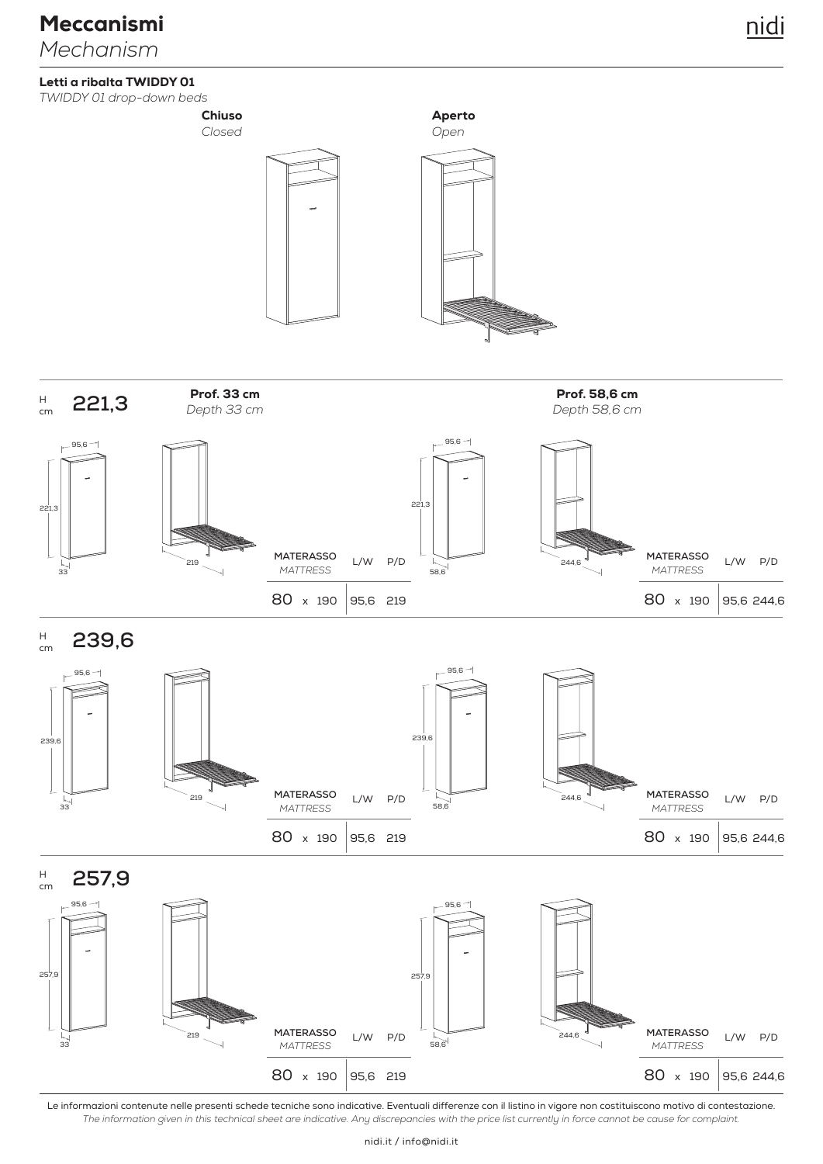#### Letti a ribalta TWIDDY 01

*TWIDDY 01 drop-down beds*



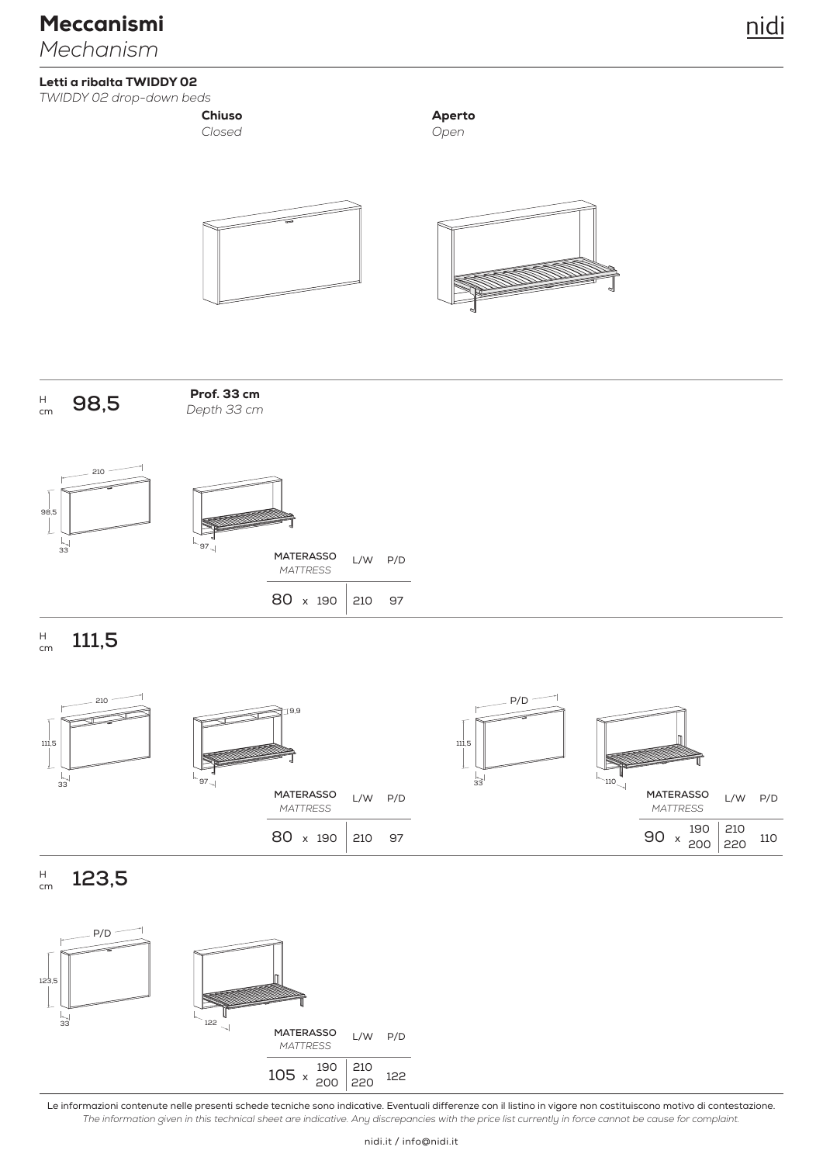### Letti a ribalta TWIDDY 02

*TWIDDY 02 drop-down beds*

# *Closed* Chiuso

*Open* Aperto

![](_page_1_Figure_7.jpeg)

**98,5** H cm

*Depth 33 cm* Prof. 33 cm

![](_page_1_Figure_10.jpeg)

![](_page_1_Picture_11.jpeg)

|  | <b>MATERASSO</b><br><b>MATTRESS</b> | $L/W$ $P/D$ |    |
|--|-------------------------------------|-------------|----|
|  | 80 x 190 210                        |             | 97 |

**111,5** H cm

![](_page_1_Figure_14.jpeg)

**123,5** H cm

![](_page_1_Figure_16.jpeg)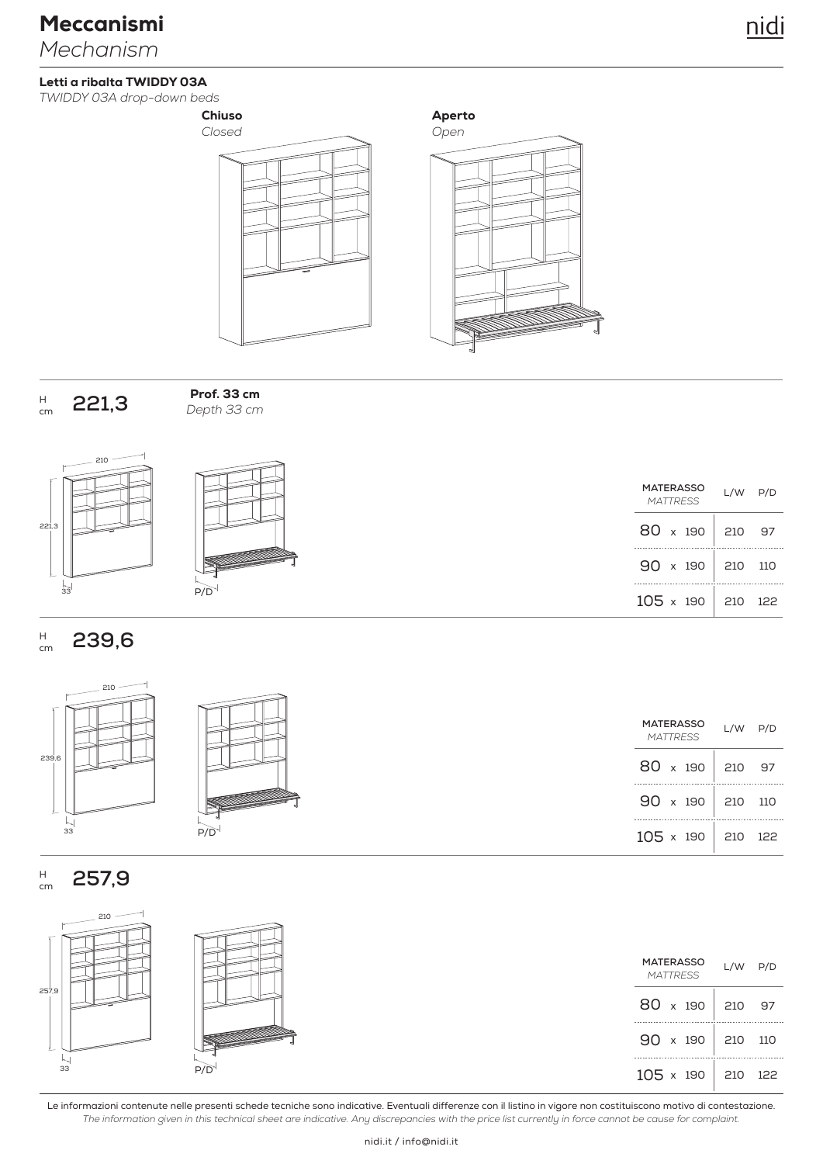### Letti a ribalta TWIDDY 03A

*TWIDDY 03A drop-down beds*

![](_page_2_Figure_4.jpeg)

![](_page_2_Figure_5.jpeg)

![](_page_2_Figure_6.jpeg)

![](_page_2_Figure_7.jpeg)

210 221,3  $\frac{1}{33}$ 

![](_page_2_Picture_9.jpeg)

*Depth 33 cm*

Prof. 33 cm

| <b>MATERASSO</b><br><b>MATTRESS</b> |  |  | $L/W$ $P/D$             |  |
|-------------------------------------|--|--|-------------------------|--|
|                                     |  |  | 80 x 190 210 97         |  |
|                                     |  |  | $90 \times 190$ 210 110 |  |
| $105 \times 190$                    |  |  | 210 122                 |  |

#### **239,6** H cm

![](_page_2_Figure_12.jpeg)

| P/D |  |
|-----|--|

![](_page_2_Picture_14.jpeg)

**257,9** H cm

| $\sim$ 210 $^{-}$ |     |                              |             |  |
|-------------------|-----|------------------------------|-------------|--|
|                   |     | MATERASSO<br><b>MATTRESS</b> | $L/W$ $P/D$ |  |
| 257,9             |     | $80 \times 190$ 210 97       |             |  |
|                   |     | $90 \times 190$ 210 110      |             |  |
| 33                | P/D | $105 \times 190$ 210 122     |             |  |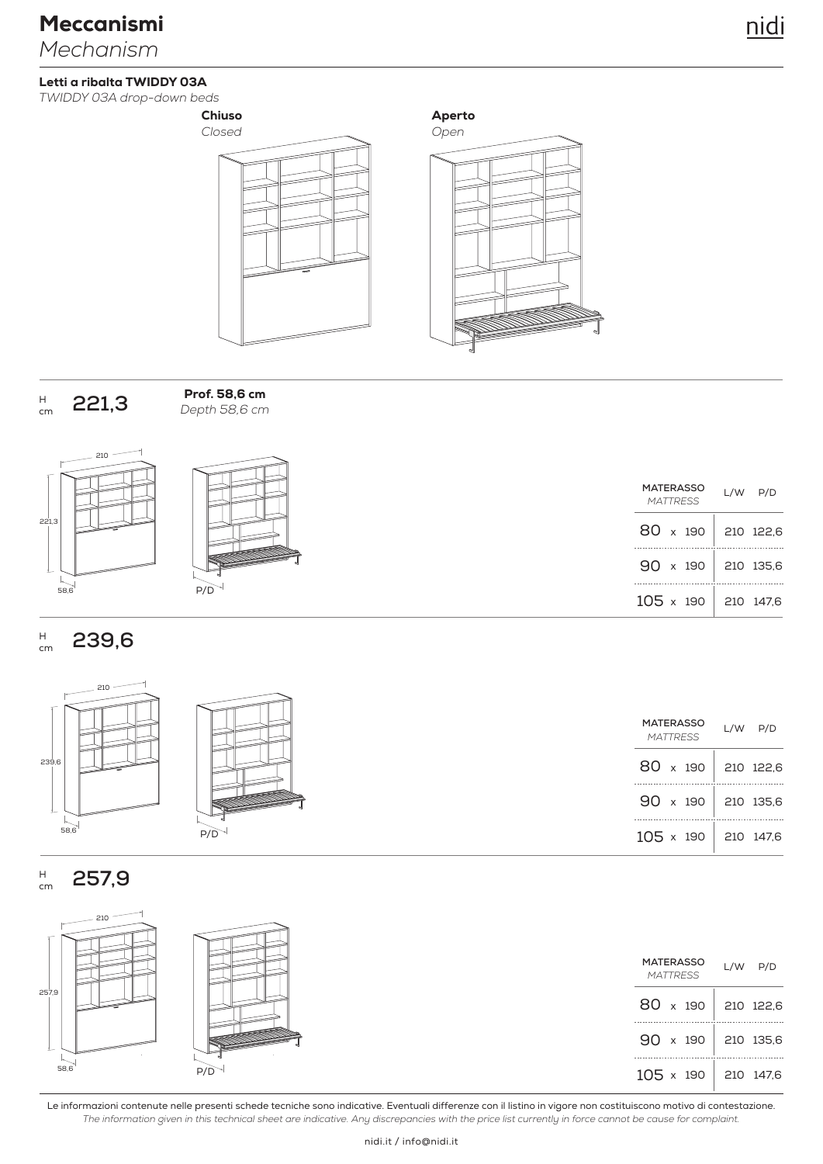### Letti a ribalta TWIDDY 03A

*TWIDDY 03A drop-down beds*

![](_page_3_Figure_4.jpeg)

Aperto

![](_page_3_Figure_6.jpeg)

![](_page_3_Figure_7.jpeg)

22

210

*Depth 58,6 cm* Prof. 58,6 cm

|      |     | MATERASSO<br><b>MATTRESS</b> | $L/W$ $P/D$ |
|------|-----|------------------------------|-------------|
| 1,3  |     | 80 x 190 210 122,6           |             |
|      |     | $90 \times 190$ 210 135,6    |             |
| 58,6 | P/D | $105 \times 190$ 210 147,6   |             |

#### **239,6** H cm

210

![](_page_3_Figure_11.jpeg)

#### **257,9** H cm

 $\rightarrow$ 

|       |     | MATERASSO<br><b>MATTRESS</b> | $L/W$ $P/D$ |  |
|-------|-----|------------------------------|-------------|--|
| 257,9 |     | 80 $\times$ 190              | 210 122,6   |  |
|       |     | $90 \times 190$              | 210 135,6   |  |
| 58,6  | P/E | $105 \times 190$ 210 147,6   |             |  |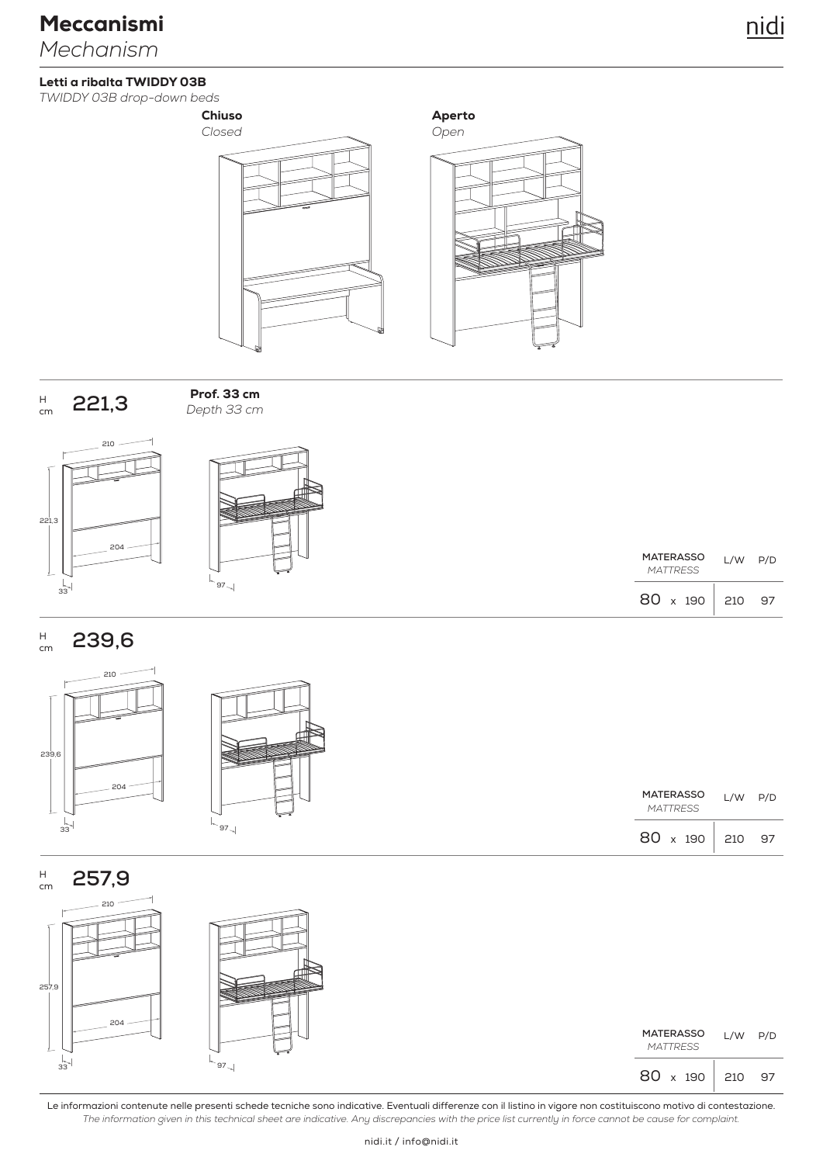### Letti a ribalta TWIDDY 03B

*TWIDDY 03B drop-down beds*

![](_page_4_Figure_4.jpeg)

![](_page_4_Figure_5.jpeg)

![](_page_4_Figure_6.jpeg)

![](_page_4_Figure_7.jpeg)

*Depth 33 cm* Prof. 33 cm

![](_page_4_Figure_9.jpeg)

![](_page_4_Picture_10.jpeg)

| MATERASSO<br><b>MATTRESS</b> | L/W | P/D |
|------------------------------|-----|-----|
| 80.<br>x 190                 | 210 | 97  |

97

P/D

#### **239,6** H cm

![](_page_4_Figure_13.jpeg)

H

![](_page_4_Figure_14.jpeg)

|  | MATERASSO L/W P/D<br><b>MATTRESS</b> |  |
|--|--------------------------------------|--|
|  | 80 x 190 210 97                      |  |

![](_page_4_Figure_16.jpeg)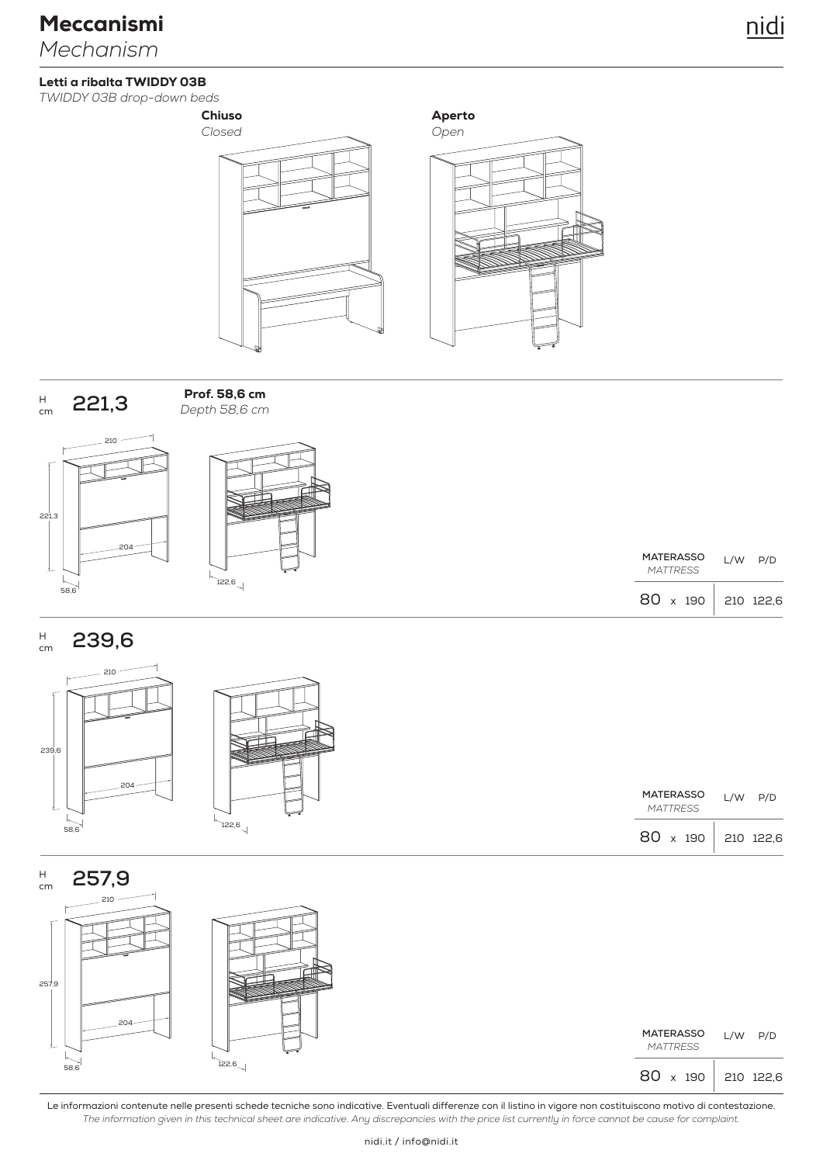### Letti a ribalta TWIDDY 03B

*TWIDDY 03B drop-down beds*

![](_page_5_Figure_4.jpeg)

Aperto

![](_page_5_Figure_6.jpeg)

![](_page_5_Figure_7.jpeg)

*Depth 58,6 cm* Prof. 58,6 cm

![](_page_5_Figure_9.jpeg)

![](_page_5_Figure_10.jpeg)

|                 | MATERASSO       | L/W | P/D       |
|-----------------|-----------------|-----|-----------|
|                 | <b>MATTRESS</b> |     |           |
| $80 \times 190$ |                 |     | 210 122.6 |

#### **239,6** H cm

![](_page_5_Figure_13.jpeg)

![](_page_5_Figure_14.jpeg)

|    | MATERASSO<br><b>MATTRESS</b> | $L/W$ $P/D$ |
|----|------------------------------|-------------|
| 6, | 80 x 190 210 122,6           |             |

![](_page_5_Figure_16.jpeg)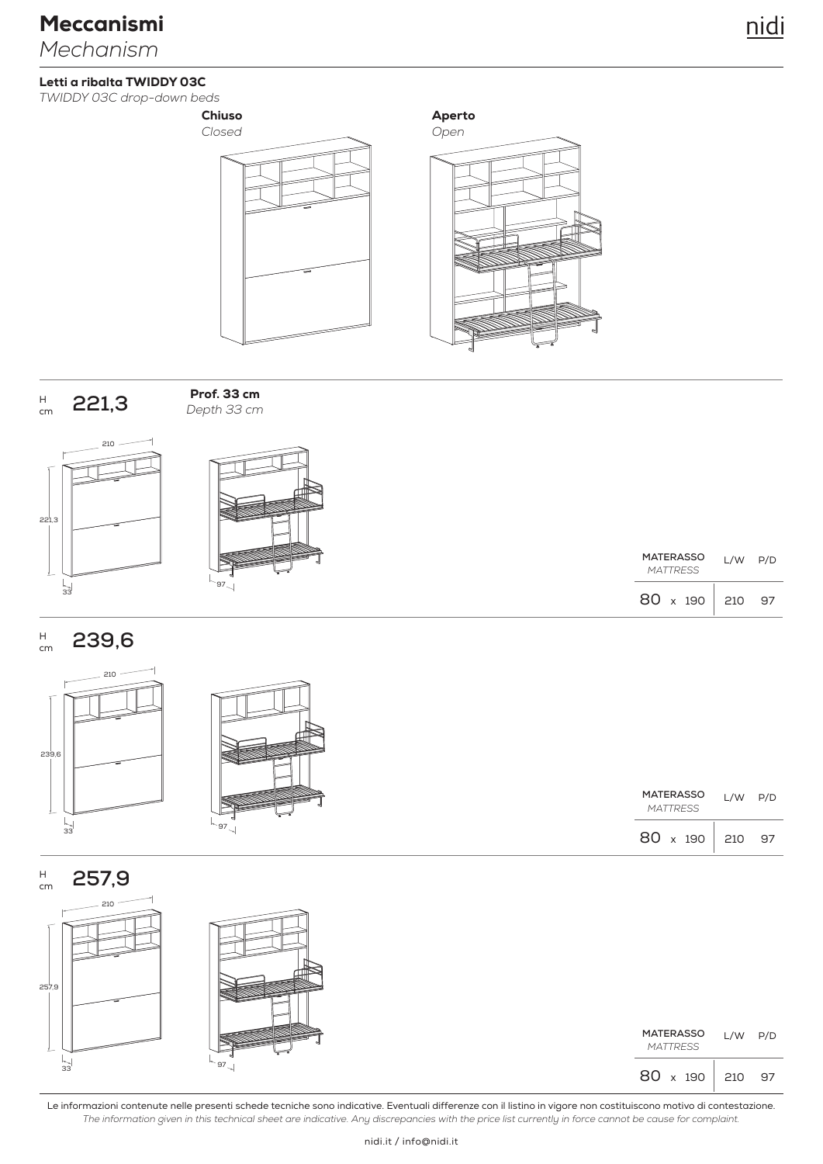*TWIDDY 03C drop-down beds*

![](_page_6_Figure_3.jpeg)

Aperto

![](_page_6_Figure_5.jpeg)

![](_page_6_Figure_6.jpeg)

*Depth 33 cm* Prof. 33 cm

![](_page_6_Figure_8.jpeg)

![](_page_6_Picture_9.jpeg)

| <b>MATERASSO</b> |  | L/W | P/D |    |
|------------------|--|-----|-----|----|
| <b>MATTRESS</b>  |  |     |     |    |
| $80 \times 190$  |  |     | 210 | 97 |

#### **239,6** H cm

![](_page_6_Figure_12.jpeg)

![](_page_6_Figure_13.jpeg)

|    | MATERASSO<br><b>MATTRESS</b> | $L/W$ $P/D$ |  |
|----|------------------------------|-------------|--|
| 97 | 80 x 190 210 97              |             |  |

![](_page_6_Figure_15.jpeg)